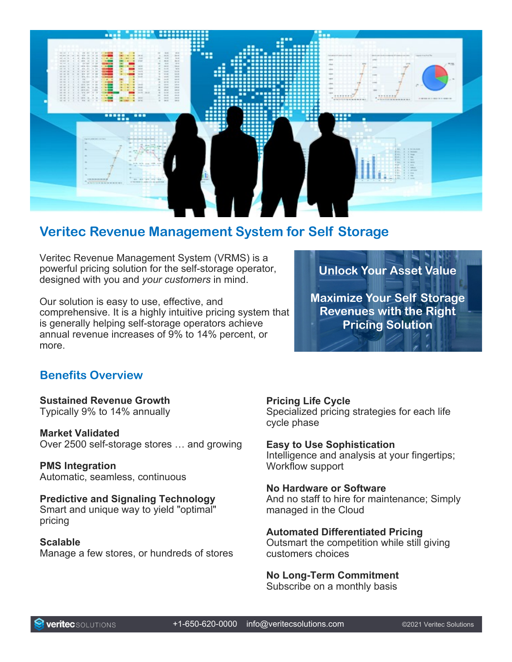

# **Veritec Revenue Management System for Self Storage**

Veritec Revenue Management System (VRMS) is a powerful pricing solution for the self-storage operator, designed with you and *your customers* in mind.

Our solution is easy to use, effective, and comprehensive. It is a highly intuitive pricing system that is generally helping self-storage operators achieve annual revenue increases of 9% to 14% percent, or more.

**Unlock Your Asset Value**

**Maximize Your Self Storage Revenues with the Right Pricing Solution**

# **Benefits Overview**

**Sustained Revenue Growth** Typically 9% to 14% annually

**Market Validated** Over 2500 self-storage stores … and growing

**PMS Integration** Automatic, seamless, continuous

**Predictive and Signaling Technology** Smart and unique way to yield "optimal" pricing

**Scalable** Manage a few stores, or hundreds of stores **Pricing Life Cycle**

Specialized pricing strategies for each life cycle phase

**Easy to Use Sophistication**

Intelligence and analysis at your fingertips; Workflow support

# **No Hardware or Software**

And no staff to hire for maintenance; Simply managed in the Cloud

# **Automated Differentiated Pricing**

Outsmart the competition while still giving customers choices

# **No Long-Term Commitment**

Subscribe on a monthly basis